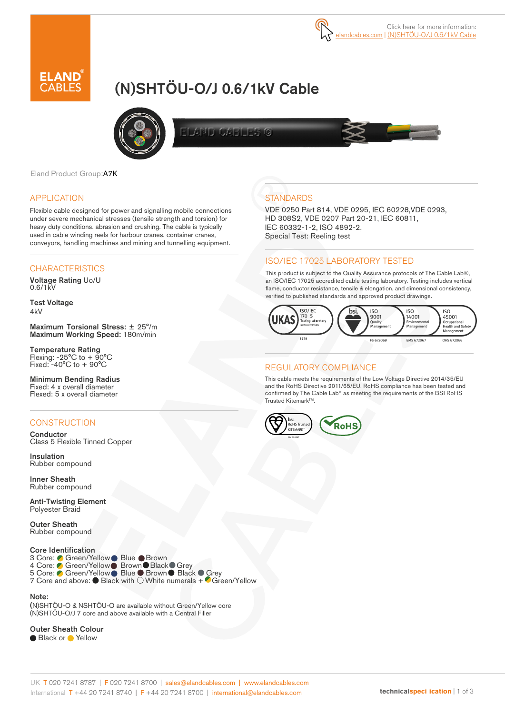# (N)SHTÖU-O/J 0.6/1kV Cable



ELAND CABLES G



Eland Product Group:A7K

#### APPLICATION

Flexible cable designed for power and signalling mobile connections under severe mechanical stresses (tensile strength and torsion) for heavy duty conditions. abrasion and crushing. The cable is typically used in cable winding reels for harbour cranes. container cranes, conveyors, handling machines and mining and tunnelling equipment.

### **CHARACTERISTICS**

Voltage Rating Uo/U 0.6/1kV

Test Voltage 4kV

Maximum Torsional Stress: ± 25°/m Maximum Working Speed: 180m/min

Temperature Rating Flexing: -25°C to + 90°C Fixed: -40°C to + 90°C

Minimum Bending Radius Fixed: 4 x overall diameter Flexed: 5 x overall diameter

# **CONSTRUCTION**

**Conductor** Class 5 Flexible Tinned Copper

Insulation Rubber compound

Inner Sheath Rubber compound

Anti-Twisting Element Polyester Braid

Outer Sheath Rubber compound

#### Core Identification

- 3 Core: **Green/Yellow Blue Brown** 4 Core: Green/Yellow Brown Black Grey 5 Core: ● Green/Yellow Blue ● Brown ● Black ● Grey 7 Core and above: ● Black with ○ White numerals + ● Green/Yellow
- Note:

(N)SHTÖU-O & NSHTÖU-O are available without Green/Yellow core (N)SHTÖU-O/J 7 core and above available with a Central Filler

Outer Sheath Colour

● Black or ● Yellow

## **STANDARDS**

VDE 0250 Part 814, VDE 0295, IEC 60228,VDE 0293, HD 308S2, VDE 0207 Part 20-21, IEC 60811, IEC 60332-1-2, ISO 4892-2, Special Test: Reeling test

#### ISO/IEC 17025 LABORATORY TESTED

This product is subject to the Quality Assurance protocols of The Cable Lab®, an ISO/IEC 17025 accredited cable testing laboratory. Testing includes vertical flame, conductor resistance, tensile & elongation, and dimensional consistency, verified to published standards and approved product drawings.



#### REGULATORY COMPLIANCE

This cable meets the requirements of the Low Voltage Directive 2014/35/EU and the RoHS Directive 2011/65/EU. RoHS compliance has been tested and confirmed by The Cable Lab® as meeting the requirements of the BSI RoHS Trusted KitemarkTM.

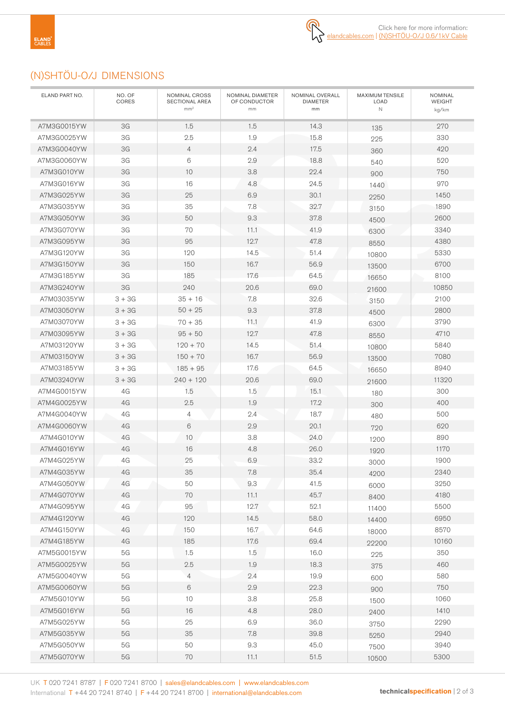# (N)SHTÖU-O/J DIMENSIONS

| ELAND PART NO. | NO. OF<br>CORES | NOMINAL CROSS<br>SECTIONAL AREA<br>mm <sup>2</sup> | NOMINAL DIAMETER<br>OF CONDUCTOR<br>mm | NOMINAL OVERALL<br><b>DIAMETER</b><br>mm | MAXIMUM TENSILE<br>LOAD<br>$\mathbb N$ | NOMINAL<br><b>WEIGHT</b><br>kg/km |
|----------------|-----------------|----------------------------------------------------|----------------------------------------|------------------------------------------|----------------------------------------|-----------------------------------|
| A7M3G0015YW    | 3G              | 1.5                                                | 1.5                                    | 14.3                                     | 135                                    | 270                               |
| A7M3G0025YW    | 3G              | 2.5                                                | 1.9                                    | 15.8                                     | 225                                    | 330                               |
| A7M3G0040YW    | 3G              | $\overline{4}$                                     | 2.4                                    | 17.5                                     | 360                                    | 420                               |
| A7M3G0060YW    | ЗG              | 6                                                  | 2.9                                    | 18.8                                     | 540                                    | 520                               |
| A7M3G010YW     | 3G              | 10                                                 | 3.8                                    | 22.4                                     | 900                                    | 750                               |
| A7M3G016YW     | 3G              | 16                                                 | 4.8                                    | 24.5                                     | 1440                                   | 970                               |
| A7M3G025YW     | 3G              | 25                                                 | 6.9                                    | 30.1                                     | 2250                                   | 1450                              |
| A7M3G035YW     | 3G              | 35                                                 | 7.8                                    | 32.7                                     | 3150                                   | 1890                              |
| A7M3G050YW     | 3G              | 50                                                 | 9.3                                    | 37.8                                     | 4500                                   | 2600                              |
| A7M3G070YW     | 3G              | 70                                                 | 11.1                                   | 41.9                                     | 6300                                   | 3340                              |
| A7M3G095YW     | 3G              | 95                                                 | 12.7                                   | 47.8                                     | 8550                                   | 4380                              |
| A7M3G120YW     | 3G              | 120                                                | 14.5                                   | 51.4                                     | 10800                                  | 5330                              |
| A7M3G150YW     | 3G              | 150                                                | 16.7                                   | 56.9                                     | 13500                                  | 6700                              |
| A7M3G185YW     | 3G              | 185                                                | 17.6                                   | 64.5                                     | 16650                                  | 8100                              |
| A7M3G240YW     | 3G              | 240                                                | 20.6                                   | 69.0                                     | 21600                                  | 10850                             |
| A7M03035YW     | $3 + 3G$        | $35 + 16$                                          | 7.8                                    | 32.6                                     | 3150                                   | 2100                              |
| A7M03050YW     | $3 + 3G$        | $50 + 25$                                          | 9.3                                    | 37.8                                     | 4500                                   | 2800                              |
| A7M03070YW     | $3 + 3G$        | $70 + 35$                                          | 11.1                                   | 41.9                                     | 6300                                   | 3790                              |
| A7M03095YW     | $3 + 3G$        | $95 + 50$                                          | 12.7                                   | 47.8                                     | 8550                                   | 4710                              |
| A7M03120YW     | $3 + 3G$        | $120 + 70$                                         | 14.5                                   | 51.4                                     | 10800                                  | 5840                              |
| A7M03150YW     | $3 + 3G$        | $150 + 70$                                         | 16.7                                   | 56.9                                     | 13500                                  | 7080                              |
| A7M03185YW     | $3 + 3G$        | $185 + 95$                                         | 17.6                                   | 64.5                                     | 16650                                  | 8940                              |
| A7M03240YW     | $3 + 3G$        | $240 + 120$                                        | 20.6                                   | 69.0                                     | 21600                                  | 11320                             |
| A7M4G0015YW    | 4G              | 1.5                                                | 1.5                                    | 15.1                                     | 180                                    | 300                               |
| A7M4G0025YW    | 4G              | 2.5                                                | 1.9                                    | 17.2                                     | 300                                    | 400                               |
| A7M4G0040YW    | 4G              | 4                                                  | 2.4                                    | 18.7                                     | 480                                    | 500                               |
| A7M4G0060YW    | 4G              | 6                                                  | 2.9                                    | 20.1                                     | 720                                    | 620                               |
| A7M4G010YW     | 4G              | 10                                                 | 3.8                                    | 24.0                                     | 1200                                   | 890                               |
| A7M4G016YW     | 4G              | 16                                                 | 4.8                                    | 26.0                                     | 1920                                   | 1170                              |
| A7M4G025YW     | 4G              | 25                                                 | 6.9                                    | 33.2                                     | 3000                                   | 1900                              |
| A7M4G035YW     | 4G              | 35                                                 | 7.8                                    | 35.4                                     | 4200                                   | 2340                              |
| A7M4G050YW     | 4G              | 50                                                 | 9.3                                    | 41.5                                     | 6000                                   | 3250                              |
| A7M4G070YW     | 4G              | 70                                                 | 11.1                                   | 45.7                                     | 8400                                   | 4180                              |
| A7M4G095YW     | 4G              | 95                                                 | 12.7                                   | 52.1                                     | 11400                                  | 5500                              |
| A7M4G120YW     | 4G              | 120                                                | 14.5                                   | 58.0                                     | 14400                                  | 6950                              |
| A7M4G150YW     | 4G              | 150                                                | 16.7                                   | 64.6                                     | 18000                                  | 8570                              |
| A7M4G185YW     | 4G              | 185                                                | 17.6                                   | 69.4                                     | 22200                                  | 10160                             |
| A7M5G0015YW    | 5G              | 1.5                                                | 1.5                                    | 16.0                                     | 225                                    | 350                               |
| A7M5G0025YW    | $5G$            | 2.5                                                | 1.9                                    | 18.3                                     | 375                                    | 460                               |
| A7M5G0040YW    | $5\mathrm{G}$   | $\overline{4}$                                     | 2.4                                    | 19.9                                     | 600                                    | 580                               |
| A7M5G0060YW    | 5G              | $6\,$                                              | 2.9                                    | 22.3                                     | 900                                    | 750                               |
| A7M5G010YW     | 5G              | 10                                                 | 3.8                                    | 25.8                                     | 1500                                   | 1060                              |
| A7M5G016YW     | $5G$            | 16                                                 | 4.8                                    | 28.0                                     | 2400                                   | 1410                              |
| A7M5G025YW     | 5G              | 25                                                 | 6.9                                    | 36.0                                     | 3750                                   | 2290                              |
| A7M5G035YW     | 5G              | 35                                                 | 7.8                                    | 39.8                                     | 5250                                   | 2940                              |
| A7M5G050YW     | 5G              | 50                                                 | 9.3                                    | 45.0                                     | 7500                                   | 3940                              |
| A7M5G070YW     | $5G$            | 70                                                 | 11.1                                   | $51.5$                                   | 10500                                  | 5300                              |